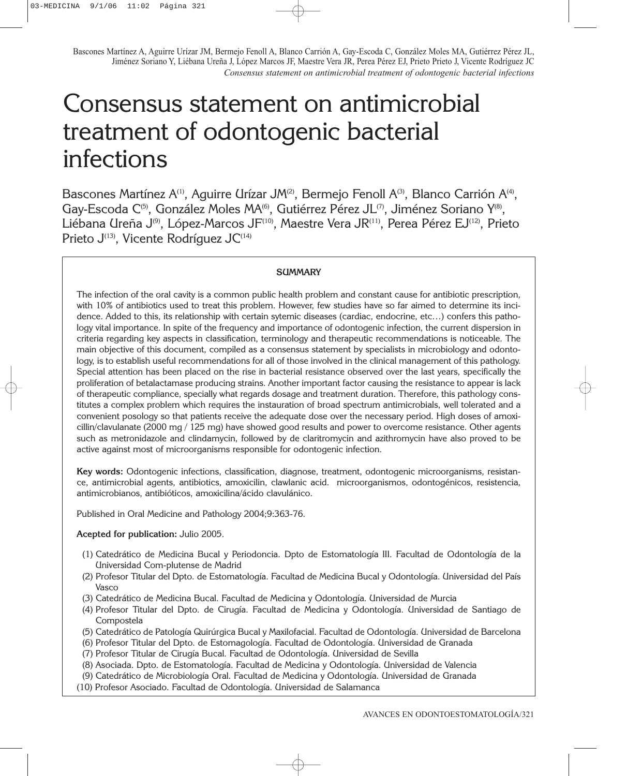# Consensus statement on antimicrobial treatment of odontogenic bacterial infections

Bascones Martínez A<sup>(1)</sup>, Aguirre Urízar JM<sup>(2)</sup>, Bermeio Fenoll A<sup>(3)</sup>, Blanco Carrión A<sup>(4)</sup>, Gay-Escoda C<sup>(5)</sup>, González Moles MA<sup>(6)</sup>, Gutiérrez Pérez JL<sup>(7)</sup>, Jiménez Soriano Y<sup>(8)</sup>, Liébana Ureña J<sup>(9)</sup>, López-Marcos JF<sup>(10)</sup>, Maestre Vera JR<sup>(11)</sup>, Perea Pérez EJ<sup>(12)</sup>, Prieto Prieto J<sup>(13)</sup>, Vicente Rodríguez JC<sup>(14)</sup>

## **SUMMARY**

The infection of the oral cavity is a common public health problem and constant cause for antibiotic prescription, with 10% of antibiotics used to treat this problem. However, few studies have so far aimed to determine its incidence. Added to this, its relationship with certain sytemic diseases (cardiac, endocrine, etc…) confers this pathology vital importance. In spite of the frequency and importance of odontogenic infection, the current dispersion in criteria regarding key aspects in classification, terminology and therapeutic recommendations is noticeable. The main objective of this document, compiled as a consensus statement by specialists in microbiology and odontology, is to establish useful recommendations for all of those involved in the clinical management of this pathology. Special attention has been placed on the rise in bacterial resistance observed over the last years, specifically the proliferation of betalactamase producing strains. Another important factor causing the resistance to appear is lack of therapeutic compliance, specially what regards dosage and treatment duration. Therefore, this pathology constitutes a complex problem which requires the instauration of broad spectrum antimicrobials, well tolerated and a convenient posology so that patients receive the adequate dose over the necessary period. High doses of amoxicillin/clavulanate (2000 mg / 125 mg) have showed good results and power to overcome resistance. Other agents such as metronidazole and clindamycin, followed by de claritromycin and azithromycin have also proved to be active against most of microorganisms responsible for odontogenic infection.

**Key words:** Odontogenic infections, classification, diagnose, treatment, odontogenic microorganisms, resistance, antimicrobial agents, antibiotics, amoxicilin, clawlanic acid. microorganismos, odontogénicos, resistencia, antimicrobianos, antibióticos, amoxicilina/ácido clavulánico.

Published in Oral Medicine and Pathology 2004;9:363-76.

#### **Acepted for publication:** Julio 2005.

- (1) Catedrático de Medicina Bucal y Periodoncia. Dpto de Estomatología III. Facultad de Odontología de la Universidad Com-plutense de Madrid
- (2) Profesor Titular del Dpto. de Estomatología. Facultad de Medicina Bucal y Odontología. Universidad del País Vasco
- (3) Catedrático de Medicina Bucal. Facultad de Medicina y Odontología. Universidad de Murcia
- (4) Profesor Titular del Dpto. de Cirugía. Facultad de Medicina y Odontología. Universidad de Santiago de Compostela
- (5) Catedrático de Patología Quirúrgica Bucal y Maxilofacial. Facultad de Odontología. Universidad de Barcelona
- (6) Profesor Titular del Dpto. de Estomagología. Facultad de Odontología. Universidad de Granada
- (7) Profesor Titular de Cirugía Bucal. Facultad de Odontología. Universidad de Sevilla
- (8) Asociada. Dpto. de Estomatología. Facultad de Medicina y Odontología. Universidad de Valencia
- (9) Catedrático de Microbiología Oral. Facultad de Medicina y Odontología. Universidad de Granada
- (10) Profesor Asociado. Facultad de Odontología. Universidad de Salamanca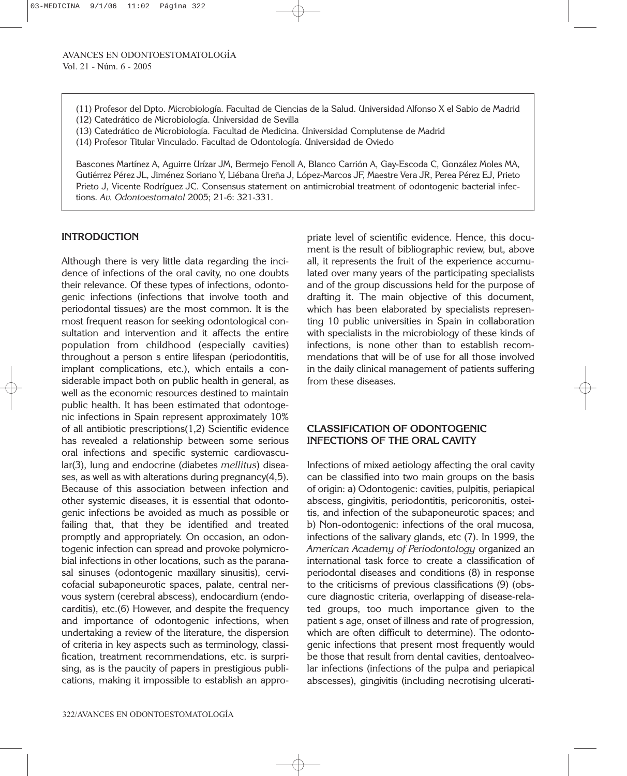- (11) Profesor del Dpto. Microbiología. Facultad de Ciencias de la Salud. Universidad Alfonso X el Sabio de Madrid (12) Catedrático de Microbiología. Universidad de Sevilla
- (13) Catedrático de Microbiología. Facultad de Medicina. Universidad Complutense de Madrid
- (14) Profesor Titular Vinculado. Facultad de Odontología. Universidad de Oviedo

## **INTRODUCTION**

Although there is very little data regarding the incidence of infections of the oral cavity, no one doubts their relevance. Of these types of infections, odontogenic infections (infections that involve tooth and periodontal tissues) are the most common. It is the most frequent reason for seeking odontological consultation and intervention and it affects the entire population from childhood (especially cavities) throughout a person s entire lifespan (periodontitis, implant complications, etc.), which entails a considerable impact both on public health in general, as well as the economic resources destined to maintain public health. It has been estimated that odontogenic infections in Spain represent approximately 10% of all antibiotic prescriptions(1,2) Scientific evidence has revealed a relationship between some serious oral infections and specific systemic cardiovascular(3), lung and endocrine (diabetes *mellitus*) diseases, as well as with alterations during pregnancy(4,5). Because of this association between infection and other systemic diseases, it is essential that odontogenic infections be avoided as much as possible or failing that, that they be identified and treated promptly and appropriately. On occasion, an odontogenic infection can spread and provoke polymicrobial infections in other locations, such as the paranasal sinuses (odontogenic maxillary sinusitis), cervicofacial subaponeurotic spaces, palate, central nervous system (cerebral abscess), endocardium (endocarditis), etc.(6) However, and despite the frequency and importance of odontogenic infections, when undertaking a review of the literature, the dispersion of criteria in key aspects such as terminology, classification, treatment recommendations, etc. is surprising, as is the paucity of papers in prestigious publications, making it impossible to establish an appro-

priate level of scientific evidence. Hence, this document is the result of bibliographic review, but, above all, it represents the fruit of the experience accumulated over many years of the participating specialists and of the group discussions held for the purpose of drafting it. The main objective of this document, which has been elaborated by specialists representing 10 public universities in Spain in collaboration with specialists in the microbiology of these kinds of infections, is none other than to establish recommendations that will be of use for all those involved in the daily clinical management of patients suffering from these diseases.

## **CLASSIFICATION OF ODONTOGENIC INFECTIONS OF THE ORAL CAVITY**

Infections of mixed aetiology affecting the oral cavity can be classified into two main groups on the basis of origin: a) Odontogenic: cavities, pulpitis, periapical abscess, gingivitis, periodontitis, pericoronitis, osteitis, and infection of the subaponeurotic spaces; and b) Non-odontogenic: infections of the oral mucosa, infections of the salivary glands, etc (7). In 1999, the *American Academy of Periodontology* organized an international task force to create a classification of periodontal diseases and conditions (8) in response to the criticisms of previous classifications (9) (obscure diagnostic criteria, overlapping of disease-related groups, too much importance given to the patient s age, onset of illness and rate of progression, which are often difficult to determine). The odontogenic infections that present most frequently would be those that result from dental cavities, dentoalveolar infections (infections of the pulpa and periapical abscesses), gingivitis (including necrotising ulcerati-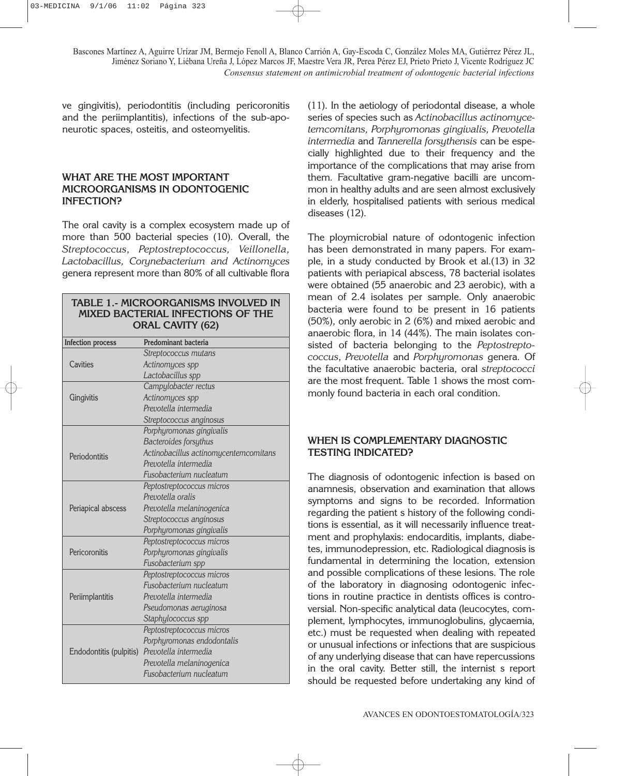ve gingivitis), periodontitis (including pericoronitis and the periimplantitis), infections of the sub-aponeurotic spaces, osteitis, and osteomyelitis.

#### **WHAT ARE THE MOST IMPORTANT MICROORGANISMS IN ODONTOGENIC INFECTION?**

The oral cavity is a complex ecosystem made up of more than 500 bacterial species (10). Overall, the *Streptococcus*, *Peptostreptococcus, Veillonella, Lactobacillus, Corynebacterium and Actinomyces* genera represent more than 80% of all cultivable flora

#### **TABLE 1.- MICROORGANISMS INVOLVED IN MIXED BACTERIAL INFECTIONS OF THE ORAL CAVITY (62)**

| <b>Infection process</b> | Predominant bacteria                  |  |  |  |
|--------------------------|---------------------------------------|--|--|--|
|                          | Streptococcus mutans                  |  |  |  |
| Cavities                 | Actinomyces spp                       |  |  |  |
|                          | Lactobacillus spp                     |  |  |  |
|                          | Campylobacter rectus                  |  |  |  |
| Gingivitis               | Actinomyces spp                       |  |  |  |
|                          | Prevotella intermedia                 |  |  |  |
|                          | Streptococcus anginosus               |  |  |  |
|                          | Porphyromonas gingivalis              |  |  |  |
|                          | Bacteroides forsythus                 |  |  |  |
| Periodontitis            | Actinobacillus actinomycentemcomitans |  |  |  |
|                          | Prevotella intermedia                 |  |  |  |
|                          | Fusobacterium nucleatum               |  |  |  |
|                          | Peptostreptococcus micros             |  |  |  |
|                          | Prevotella oralis                     |  |  |  |
| Periapical abscess       | Prevotella melaninogenica             |  |  |  |
|                          | Streptococcus anginosus               |  |  |  |
|                          | Porphyromonas gingivalis              |  |  |  |
|                          | Peptostreptococcus micros             |  |  |  |
| Pericoronitis            | Porphyromonas gingivalis              |  |  |  |
|                          | Fusobacterium spp                     |  |  |  |
|                          | Peptostreptococcus micros             |  |  |  |
|                          | Fusobacterium nucleatum               |  |  |  |
| Periimplantitis          | Prevotella intermedia                 |  |  |  |
|                          | Pseudomonas aeruginosa                |  |  |  |
|                          | Staphylococcus spp                    |  |  |  |
| Endodontitis (pulpitis)  | Peptostreptococcus micros             |  |  |  |
|                          | Porphyromonas endodontalis            |  |  |  |
|                          | Prevotella intermedia                 |  |  |  |
|                          | Prevotella melaninogenica             |  |  |  |
|                          | Fusobacterium nucleatum               |  |  |  |

(11). In the aetiology of periodontal disease, a whole series of species such as *Actinobacillus actinomycetemcomitans, Porphyromonas gingivalis, Prevotella intermedia* and *Tannerella forsythensis* can be especially highlighted due to their frequency and the importance of the complications that may arise from them*.* Facultative gram-negative bacilli are uncommon in healthy adults and are seen almost exclusively in elderly, hospitalised patients with serious medical diseases (12).

The ploymicrobial nature of odontogenic infection has been demonstrated in many papers. For example, in a study conducted by Brook et al.(13) in 32 patients with periapical abscess, 78 bacterial isolates were obtained (55 anaerobic and 23 aerobic), with a mean of 2.4 isolates per sample. Only anaerobic bacteria were found to be present in 16 patients (50%), only aerobic in 2 (6%) and mixed aerobic and anaerobic flora, in 14 (44%). The main isolates consisted of bacteria belonging to the *Peptostreptococcus*, *Prevotella* and *Porphyromonas* genera*.* Of the facultative anaerobic bacteria, oral *streptococci* are the most frequent. Table 1 shows the most commonly found bacteria in each oral condition.

## **WHEN IS COMPLEMENTARY DIAGNOSTIC TESTING INDICATED?**

The diagnosis of odontogenic infection is based on anamnesis, observation and examination that allows symptoms and signs to be recorded. Information regarding the patient s history of the following conditions is essential, as it will necessarily influence treatment and prophylaxis: endocarditis, implants, diabetes, immunodepression, etc. Radiological diagnosis is fundamental in determining the location, extension and possible complications of these lesions. The role of the laboratory in diagnosing odontogenic infections in routine practice in dentists offices is controversial. Non-specific analytical data (leucocytes, complement, lymphocytes, immunoglobulins, glycaemia, etc.) must be requested when dealing with repeated or unusual infections or infections that are suspicious of any underlying disease that can have repercussions in the oral cavity. Better still, the internist s report should be requested before undertaking any kind of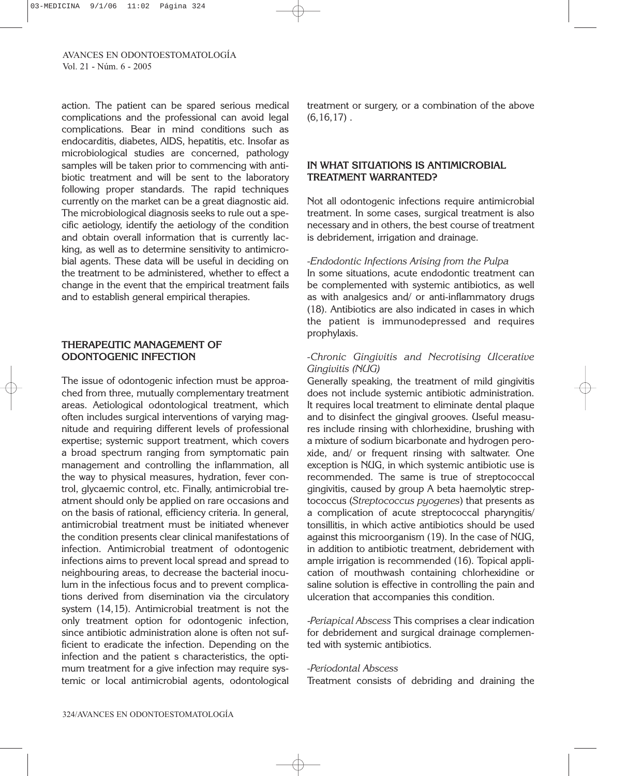action. The patient can be spared serious medical complications and the professional can avoid legal complications. Bear in mind conditions such as endocarditis, diabetes, AIDS, hepatitis, etc. Insofar as microbiological studies are concerned, pathology samples will be taken prior to commencing with antibiotic treatment and will be sent to the laboratory following proper standards. The rapid techniques currently on the market can be a great diagnostic aid. The microbiological diagnosis seeks to rule out a specific aetiology, identify the aetiology of the condition and obtain overall information that is currently lacking, as well as to determine sensitivity to antimicrobial agents. These data will be useful in deciding on the treatment to be administered, whether to effect a change in the event that the empirical treatment fails and to establish general empirical therapies.

# **THERAPEUTIC MANAGEMENT OF ODONTOGENIC INFECTION**

The issue of odontogenic infection must be approached from three, mutually complementary treatment areas. Aetiological odontological treatment, which often includes surgical interventions of varying magnitude and requiring different levels of professional expertise; systemic support treatment, which covers a broad spectrum ranging from symptomatic pain management and controlling the inflammation, all the way to physical measures, hydration, fever control, glycaemic control, etc. Finally, antimicrobial treatment should only be applied on rare occasions and on the basis of rational, efficiency criteria. In general, antimicrobial treatment must be initiated whenever the condition presents clear clinical manifestations of infection. Antimicrobial treatment of odontogenic infections aims to prevent local spread and spread to neighbouring areas, to decrease the bacterial inoculum in the infectious focus and to prevent complications derived from disemination via the circulatory system (14,15). Antimicrobial treatment is not the only treatment option for odontogenic infection, since antibiotic administration alone is often not sufficient to eradicate the infection. Depending on the infection and the patient s characteristics, the optimum treatment for a give infection may require systemic or local antimicrobial agents, odontological treatment or surgery, or a combination of the above  $(6,16,17)$ .

# **IN WHAT SITUATIONS IS ANTIMICROBIAL TREATMENT WARRANTED?**

Not all odontogenic infections require antimicrobial treatment. In some cases, surgical treatment is also necessary and in others, the best course of treatment is debridement, irrigation and drainage.

#### *-Endodontic Infections Arising from the Pulpa*

In some situations, acute endodontic treatment can be complemented with systemic antibiotics, as well as with analgesics and/ or anti-inflammatory drugs (18). Antibiotics are also indicated in cases in which the patient is immunodepressed and requires prophylaxis.

## *-Chronic Gingivitis and Necrotising Ulcerative Gingivitis (NUG)*

Generally speaking, the treatment of mild gingivitis does not include systemic antibiotic administration. It requires local treatment to eliminate dental plaque and to disinfect the gingival grooves. Useful measures include rinsing with chlorhexidine, brushing with a mixture of sodium bicarbonate and hydrogen peroxide, and/ or frequent rinsing with saltwater. One exception is NUG, in which systemic antibiotic use is recommended. The same is true of streptococcal gingivitis, caused by group A beta haemolytic streptococcus (*Streptococcus pyogenes*) that presents as a complication of acute streptococcal pharyngitis/ tonsillitis, in which active antibiotics should be used against this microorganism (19). In the case of NUG, in addition to antibiotic treatment, debridement with ample irrigation is recommended (16). Topical application of mouthwash containing chlorhexidine or saline solution is effective in controlling the pain and ulceration that accompanies this condition.

-*Periapical Abscess* This comprises a clear indication for debridement and surgical drainage complemented with systemic antibiotics.

#### *-Periodontal Abscess*

Treatment consists of debriding and draining the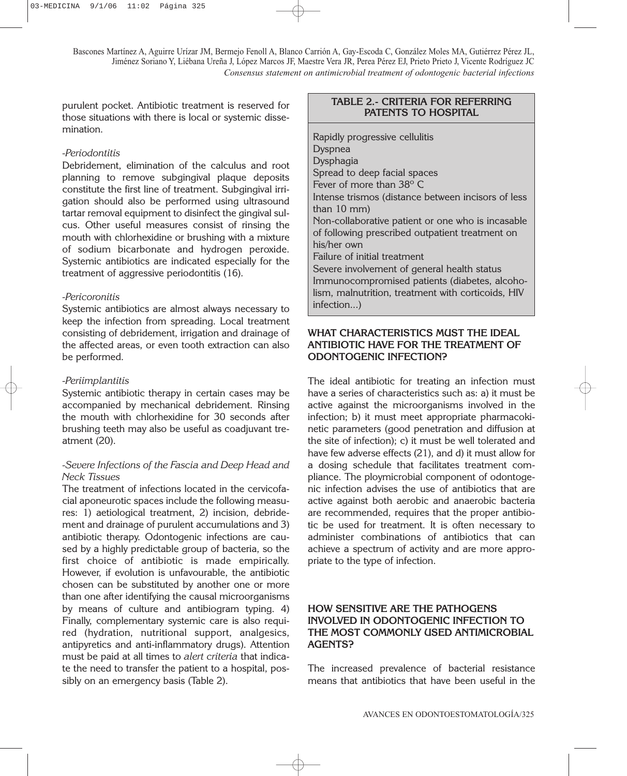purulent pocket. Antibiotic treatment is reserved for those situations with there is local or systemic dissemination.

#### *-Periodontitis*

Debridement, elimination of the calculus and root planning to remove subgingival plaque deposits constitute the first line of treatment. Subgingival irrigation should also be performed using ultrasound tartar removal equipment to disinfect the gingival sulcus. Other useful measures consist of rinsing the mouth with chlorhexidine or brushing with a mixture of sodium bicarbonate and hydrogen peroxide. Systemic antibiotics are indicated especially for the treatment of aggressive periodontitis (16).

#### *-Pericoronitis*

Systemic antibiotics are almost always necessary to keep the infection from spreading. Local treatment consisting of debridement, irrigation and drainage of the affected areas, or even tooth extraction can also be performed.

#### *-Periimplantitis*

Systemic antibiotic therapy in certain cases may be accompanied by mechanical debridement. Rinsing the mouth with chlorhexidine for 30 seconds after brushing teeth may also be useful as coadjuvant treatment (20).

#### *-Severe Infections of the Fascia and Deep Head and Neck Tissues*

The treatment of infections located in the cervicofacial aponeurotic spaces include the following measures: 1) aetiological treatment, 2) incision, debridement and drainage of purulent accumulations and 3) antibiotic therapy. Odontogenic infections are caused by a highly predictable group of bacteria, so the first choice of antibiotic is made empirically. However, if evolution is unfavourable, the antibiotic chosen can be substituted by another one or more than one after identifying the causal microorganisms by means of culture and antibiogram typing. 4) Finally, complementary systemic care is also required (hydration, nutritional support, analgesics, antipyretics and anti-inflammatory drugs). Attention must be paid at all times to *alert criteria* that indicate the need to transfer the patient to a hospital, possibly on an emergency basis (Table 2).

## **TABLE 2.- CRITERIA FOR REFERRING PATENTS TO HOSPITAL**

Rapidly progressive cellulitis Dyspnea Dysphagia Spread to deep facial spaces Fever of more than 38º C Intense trismos (distance between incisors of less than 10 mm) Non-collaborative patient or one who is incasable of following prescribed outpatient treatment on his/her own Failure of initial treatment Severe involvement of general health status Immunocompromised patients (diabetes, alcoholism, malnutrition, treatment with corticoids, HIV infection...)

# **WHAT CHARACTERISTICS MUST THE IDEAL ANTIBIOTIC HAVE FOR THE TREATMENT OF ODONTOGENIC INFECTION?**

The ideal antibiotic for treating an infection must have a series of characteristics such as: a) it must be active against the microorganisms involved in the infection; b) it must meet appropriate pharmacokinetic parameters (good penetration and diffusion at the site of infection); c) it must be well tolerated and have few adverse effects (21), and d) it must allow for a dosing schedule that facilitates treatment compliance. The ploymicrobial component of odontogenic infection advises the use of antibiotics that are active against both aerobic and anaerobic bacteria are recommended, requires that the proper antibiotic be used for treatment. It is often necessary to administer combinations of antibiotics that can achieve a spectrum of activity and are more appropriate to the type of infection.

## **HOW SENSITIVE ARE THE PATHOGENS INVOLVED IN ODONTOGENIC INFECTION TO THE MOST COMMONLY USED ANTIMICROBIAL AGENTS?**

The increased prevalence of bacterial resistance means that antibiotics that have been useful in the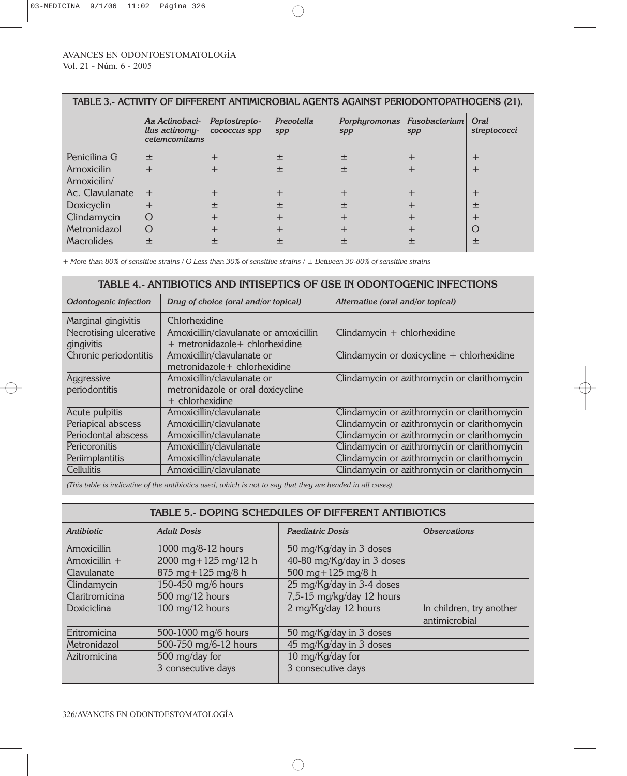| TABLE 3.- ACTIVITY OF DIFFERENT ANTIMICROBIAL AGENTS AGAINST PERIODONTOPATHOGENS (21).                                  |                                                   |                                                                |                                                                              |                                         |                             |                                                                      |  |
|-------------------------------------------------------------------------------------------------------------------------|---------------------------------------------------|----------------------------------------------------------------|------------------------------------------------------------------------------|-----------------------------------------|-----------------------------|----------------------------------------------------------------------|--|
|                                                                                                                         | Aa Actinobaci-<br>llus actinomy-<br>cetemcomitams | Peptostrepto-<br>cococcus spp                                  | Prevotella<br>spp                                                            | <i>Porphyromonas</i><br>spp             | <b>Fusobacterium</b><br>spp | Oral<br>streptococci                                                 |  |
| Penicilina G<br>Amoxicilin<br>Amoxicilin/<br>Ac. Clavulanate<br>Doxicyclin<br>Clindamycin<br>Metronidazol<br>Macrolides | 土<br>┿<br>$^{+}$<br>$^{+}$<br>O<br>O<br>土         | $\pm$<br>$\boldsymbol{+}$<br>$^{+}$<br>土<br>$\pm$<br>$^+$<br>土 | 土<br>土<br>$\boldsymbol{+}$<br>土<br>$\boldsymbol{+}$<br>$\boldsymbol{+}$<br>土 | 土<br>土<br>$^+$<br>土<br>+<br>$^{+}$<br>土 | +<br>土                      | $\pm$<br>$\pm$<br>$^{+}$<br>土<br>$\boldsymbol{+}$<br>$\bigcirc$<br>土 |  |

*+ More than 80% of sensitive strains / O Less than 30% of sensitive strains / ± Between 30-80% of sensitive strains* 

| TABLE 4.- ANTIBIOTICS AND INTISEPTICS OF USE IN ODONTOGENIC INFECTIONS |                                                                           |                                              |  |  |  |  |
|------------------------------------------------------------------------|---------------------------------------------------------------------------|----------------------------------------------|--|--|--|--|
| Odontogenic infection                                                  | Drug of choice (oral and/or topical)                                      | Alternative (oral and/or topical)            |  |  |  |  |
| Marginal gingivitis                                                    | Chlorhexidine                                                             |                                              |  |  |  |  |
| Necrotising ulcerative<br>gingivitis                                   | Amoxicillin/clavulanate or amoxicillin<br>+ metronidazole + chlorhexidine | Clindamycin + chlorhexidine                  |  |  |  |  |
| Chronic periodontitis                                                  | Amoxicillin/clavulanate or<br>metronidazole + chlorhexidine               | Clindamycin or doxicycline $+$ chlorhexidine |  |  |  |  |
| Aggressive                                                             | Amoxicillin/clavulanate or                                                | Clindamycin or azithromycin or clarithomycin |  |  |  |  |
| periodontitis                                                          | metronidazole or oral doxicycline                                         |                                              |  |  |  |  |
|                                                                        | + chlorhexidine                                                           |                                              |  |  |  |  |
| Acute pulpitis                                                         | Amoxicillin/clavulanate                                                   | Clindamycin or azithromycin or clarithomycin |  |  |  |  |
| Periapical abscess                                                     | Amoxicillin/clavulanate                                                   | Clindamycin or azithromycin or clarithomycin |  |  |  |  |
| Periodontal abscess                                                    | Amoxicillin/clavulanate                                                   | Clindamycin or azithromycin or clarithomycin |  |  |  |  |
| Pericoronitis                                                          | Amoxicillin/clavulanate                                                   | Clindamycin or azithromycin or clarithomycin |  |  |  |  |
| Periimplantitis                                                        | Amoxicillin/clavulanate                                                   | Clindamycin or azithromycin or clarithomycin |  |  |  |  |
| <b>Cellulitis</b>                                                      | Amoxicillin/clavulanate                                                   | Clindamycin or azithromycin or clarithomycin |  |  |  |  |

*(This table is indicative of the antibiotics used, which is not to say that they are hended in all cases).*

| TABLE 5.- DOPING SCHEDULES OF DIFFERENT ANTIBIOTICS |                                   |                            |                                           |  |  |  |
|-----------------------------------------------------|-----------------------------------|----------------------------|-------------------------------------------|--|--|--|
| <b>Antibiotic</b>                                   | <b>Adult Dosis</b>                | <b>Paediatric Dosis</b>    | <b>Observations</b>                       |  |  |  |
| Amoxicillin                                         | 1000 mg/8-12 hours                | 50 mg/Kg/day in 3 doses    |                                           |  |  |  |
| Amoxicillin +                                       | 2000 mg + 125 mg/12 h             | 40-80 mg/Kg/day in 3 doses |                                           |  |  |  |
| Clavulanate                                         | $875$ mg + 125 mg/8 h             | 500 mg + 125 mg/8 h        |                                           |  |  |  |
| Clindamycin                                         | 150-450 mg/6 hours                | 25 mg/Kg/day in 3-4 doses  |                                           |  |  |  |
| Claritromicina                                      | 500 mg/12 hours                   | 7,5-15 mg/kg/day 12 hours  |                                           |  |  |  |
| Doxiciclina                                         | $100 \text{ mg}/12 \text{ hours}$ | 2 mg/Kg/day 12 hours       | In children, try another<br>antimicrobial |  |  |  |
| Eritromicina                                        | 500-1000 mg/6 hours               | 50 mg/Kg/day in 3 doses    |                                           |  |  |  |
| Metronidazol                                        | 500-750 mg/6-12 hours             | 45 mg/Kg/day in 3 doses    |                                           |  |  |  |
| Azitromicina                                        | 500 mg/day for                    | 10 mg/Kg/day for           |                                           |  |  |  |
|                                                     | 3 consecutive days                | 3 consecutive days         |                                           |  |  |  |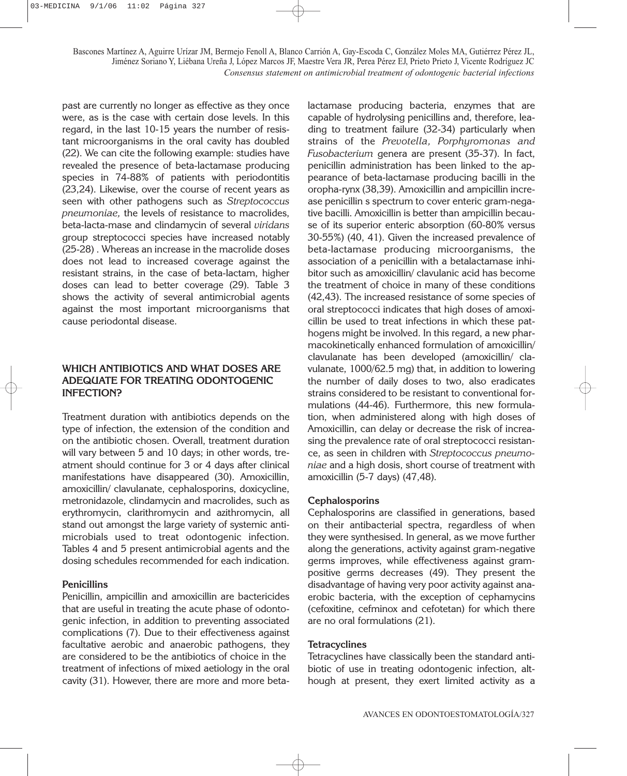past are currently no longer as effective as they once were, as is the case with certain dose levels. In this regard, in the last 10-15 years the number of resistant microorganisms in the oral cavity has doubled (22). We can cite the following example: studies have revealed the presence of beta-lactamase producing species in 74-88% of patients with periodontitis (23,24). Likewise, over the course of recent years as seen with other pathogens such as *Streptococcus pneumoniae,* the levels of resistance to macrolides, beta-lacta-mase and clindamycin of several *viridans* group streptococci species have increased notably (25-28) . Whereas an increase in the macrolide doses does not lead to increased coverage against the resistant strains, in the case of beta-lactam, higher doses can lead to better coverage (29). Table 3 shows the activity of several antimicrobial agents against the most important microorganisms that cause periodontal disease.

## **WHICH ANTIBIOTICS AND WHAT DOSES ARE ADEQUATE FOR TREATING ODONTOGENIC INFECTION?**

Treatment duration with antibiotics depends on the type of infection, the extension of the condition and on the antibiotic chosen. Overall, treatment duration will vary between 5 and 10 days; in other words, treatment should continue for 3 or 4 days after clinical manifestations have disappeared (30). Amoxicillin, amoxicillin/ clavulanate, cephalosporins, doxicycline, metronidazole, clindamycin and macrolides, such as erythromycin, clarithromycin and azithromycin, all stand out amongst the large variety of systemic antimicrobials used to treat odontogenic infection. Tables 4 and 5 present antimicrobial agents and the dosing schedules recommended for each indication.

#### **Penicillins**

Penicillin, ampicillin and amoxicillin are bactericides that are useful in treating the acute phase of odontogenic infection, in addition to preventing associated complications (7). Due to their effectiveness against facultative aerobic and anaerobic pathogens, they are considered to be the antibiotics of choice in the treatment of infections of mixed aetiology in the oral cavity (31). However, there are more and more betalactamase producing bacteria, enzymes that are capable of hydrolysing penicillins and, therefore, leading to treatment failure (32-34) particularly when strains of the *Prevotella, Porphyromonas and Fusobacterium* genera are present (35-37). In fact, penicillin administration has been linked to the appearance of beta-lactamase producing bacilli in the oropha-rynx (38,39). Amoxicillin and ampicillin increase penicillin s spectrum to cover enteric gram-negative bacilli. Amoxicillin is better than ampicillin because of its superior enteric absorption (60-80% versus 30-55%) (40, 41). Given the increased prevalence of beta-lactamase producing microorganisms, the association of a penicillin with a betalactamase inhibitor such as amoxicillin/ clavulanic acid has become the treatment of choice in many of these conditions (42,43). The increased resistance of some species of oral streptococci indicates that high doses of amoxicillin be used to treat infections in which these pathogens might be involved. In this regard, a new pharmacokinetically enhanced formulation of amoxicillin/ clavulanate has been developed (amoxicillin/ clavulanate, 1000/62.5 mg) that, in addition to lowering the number of daily doses to two, also eradicates strains considered to be resistant to conventional formulations (44-46). Furthermore, this new formulation, when administered along with high doses of Amoxicillin, can delay or decrease the risk of increasing the prevalence rate of oral streptococci resistance, as seen in children with *Streptococcus pneumoniae* and a high dosis, short course of treatment with amoxicillin (5-7 days) (47,48).

#### **Cephalosporins**

Cephalosporins are classified in generations, based on their antibacterial spectra, regardless of when they were synthesised. In general, as we move further along the generations, activity against gram-negative germs improves, while effectiveness against grampositive germs decreases (49). They present the disadvantage of having very poor activity against anaerobic bacteria, with the exception of cephamycins (cefoxitine, cefminox and cefotetan) for which there are no oral formulations (21).

#### **Tetracyclines**

Tetracyclines have classically been the standard antibiotic of use in treating odontogenic infection, although at present, they exert limited activity as a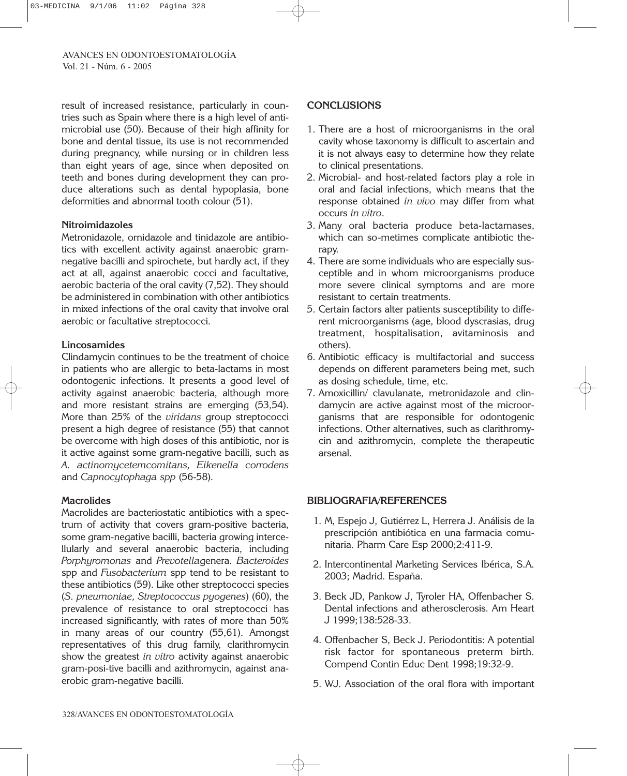result of increased resistance, particularly in countries such as Spain where there is a high level of antimicrobial use (50). Because of their high affinity for bone and dental tissue, its use is not recommended during pregnancy, while nursing or in children less than eight years of age, since when deposited on teeth and bones during development they can produce alterations such as dental hypoplasia, bone deformities and abnormal tooth colour (51).

## **Nitroimidazoles**

Metronidazole, ornidazole and tinidazole are antibiotics with excellent activity against anaerobic gramnegative bacilli and spirochete, but hardly act, if they act at all, against anaerobic cocci and facultative, aerobic bacteria of the oral cavity (7,52). They should be administered in combination with other antibiotics in mixed infections of the oral cavity that involve oral aerobic or facultative streptococci.

## **Lincosamides**

Clindamycin continues to be the treatment of choice in patients who are allergic to beta-lactams in most odontogenic infections. It presents a good level of activity against anaerobic bacteria, although more and more resistant strains are emerging (53,54). More than 25% of the *viridans* group streptococci present a high degree of resistance (55) that cannot be overcome with high doses of this antibiotic, nor is it active against some gram-negative bacilli, such as *A. actinomycetemcomitans, Eikenella corrodens* and *Capnocytophaga spp* (56-58).

# **Macrolides**

Macrolides are bacteriostatic antibiotics with a spectrum of activity that covers gram-positive bacteria, some gram-negative bacilli, bacteria growing intercellularly and several anaerobic bacteria, including *Porphyromonas* and *Prevotella*genera*. Bacteroides* spp and *Fusobacterium* spp tend to be resistant to these antibiotics (59). Like other streptococci species (*S. pneumoniae, Streptococcus pyogenes*) (60), the prevalence of resistance to oral streptococci has increased significantly, with rates of more than 50% in many areas of our country (55,61). Amongst representatives of this drug family, clarithromycin show the greatest *in vitro* activity against anaerobic gram-posi-tive bacilli and azithromycin, against anaerobic gram-negative bacilli.

# **CONCLUSIONS**

- 1. There are a host of microorganisms in the oral cavity whose taxonomy is difficult to ascertain and it is not always easy to determine how they relate to clinical presentations.
- 2. Microbial- and host-related factors play a role in oral and facial infections, which means that the response obtained *in vivo* may differ from what occurs *in vitro*.
- 3. Many oral bacteria produce beta-lactamases, which can so-metimes complicate antibiotic therapy.
- 4. There are some individuals who are especially susceptible and in whom microorganisms produce more severe clinical symptoms and are more resistant to certain treatments.
- 5. Certain factors alter patients susceptibility to different microorganisms (age, blood dyscrasias, drug treatment, hospitalisation, avitaminosis and others).
- 6. Antibiotic efficacy is multifactorial and success depends on different parameters being met, such as dosing schedule, time, etc.
- 7. Amoxicillin/ clavulanate, metronidazole and clindamycin are active against most of the microorganisms that are responsible for odontogenic infections. Other alternatives, such as clarithromycin and azithromycin, complete the therapeutic arsenal.

# **BIBLIOGRAFIA/REFERENCES**

- 1. M, Espejo J, Gutiérrez L, Herrera J. Análisis de la prescripción antibiótica en una farmacia comunitaria. Pharm Care Esp 2000;2:411-9.
- 2. Intercontinental Marketing Services Ibérica, S.A. 2003; Madrid. España.
- 3. Beck JD, Pankow J, Tyroler HA, Offenbacher S. Dental infections and atherosclerosis. Am Heart J 1999;138:528-33.
- 4. Offenbacher S, Beck J. Periodontitis: A potential risk factor for spontaneous preterm birth. Compend Contin Educ Dent 1998;19:32-9.
- 5. WJ. Association of the oral flora with important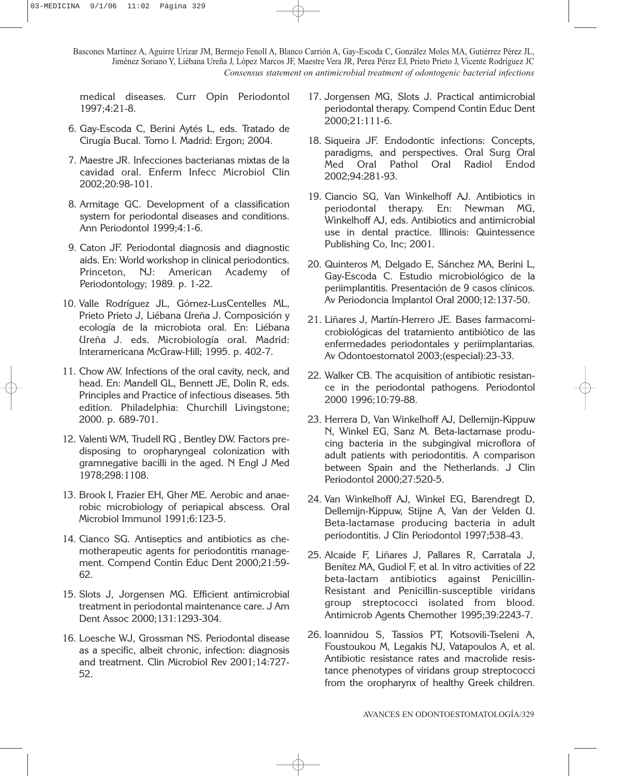medical diseases. Curr Opin Periodontol 1997;4:21-8.

- 6. Gay-Escoda C, Berini Aytés L, eds. Tratado de Cirugía Bucal. Tomo I. Madrid: Ergon; 2004.
- 7. Maestre JR. Infecciones bacterianas mixtas de la cavidad oral. Enferm Infecc Microbiol Clin 2002;20:98-101.
- 8. Armitage GC. Development of a classification system for periodontal diseases and conditions. Ann Periodontol 1999;4:1-6.
- 9. Caton JF. Periodontal diagnosis and diagnostic aids. En: World workshop in clinical periodontics. Princeton, NJ: American Academy of Periodontology; 1989. p. 1-22.
- 10. Valle Rodríguez JL, Gómez-LusCentelles ML, Prieto Prieto J, Liébana Ureña J. Composición y ecología de la microbiota oral. En: Liébana Ureña J. eds. Microbiología oral. Madrid: Interamericana McGraw-Hill; 1995. p. 402-7.
- 11. Chow AW. Infections of the oral cavity, neck, and head. En: Mandell GL, Bennett JE, Dolin R, eds. Principles and Practice of infectious diseases. 5th edition. Philadelphia: Churchill Livingstone; 2000. p. 689-701.
- 12. Valenti WM, Trudell RG , Bentley DW. Factors predisposing to oropharyngeal colonization with gramnegative bacilli in the aged. N Engl J Med 1978;298:1108.
- 13. Brook I, Frazier EH, Gher ME. Aerobic and anaerobic microbiology of periapical abscess. Oral Microbiol Immunol 1991;6:123-5.
- 14. Cianco SG. Antiseptics and antibiotics as chemotherapeutic agents for periodontitis management. Compend Contin Educ Dent 2000;21:59- 62.
- 15. Slots J, Jorgensen MG. Efficient antimicrobial treatment in periodontal maintenance care. J Am Dent Assoc 2000;131:1293-304.
- 16. Loesche WJ, Grossman NS. Periodontal disease as a specific, albeit chronic, infection: diagnosis and treatment. Clin Microbiol Rev 2001;14:727- 52.
- 17. Jorgensen MG, Slots J. Practical antimicrobial periodontal therapy. Compend Contin Educ Dent 2000;21:111-6.
- 18. Siqueira JF. Endodontic infections: Concepts, paradigms, and perspectives. Oral Surg Oral Med Oral Pathol Oral Radiol Endod 2002;94:281-93.
- 19. Ciancio SG, Van Winkelhoff AJ. Antibiotics in periodontal therapy. En: Newman MG, Winkelhoff AJ, eds. Antibiotics and antimicrobial use in dental practice. Illinois: Quintessence Publishing Co, Inc; 2001.
- 20. Quinteros M, Delgado E, Sánchez MA, Berini L, Gay-Escoda C. Estudio microbiológico de la periimplantitis. Presentación de 9 casos clínicos. Av Periodoncia Implantol Oral 2000;12:137-50.
- 21. Liñares J, Martín-Herrero JE. Bases farmacomicrobiológicas del tratamiento antibiótico de las enfermedades periodontales y periimplantarias. Av Odontoestomatol 2003;(especial):23-33.
- 22. Walker CB. The acquisition of antibiotic resistance in the periodontal pathogens. Periodontol 2000 1996;10:79-88.
- 23. Herrera D, Van Winkelhoff AJ, Dellemijn-Kippuw N, Winkel EG, Sanz M. Beta-lactamase producing bacteria in the subgingival microflora of adult patients with periodontitis. A comparison between Spain and the Netherlands. J Clin Periodontol 2000;27:520-5.
- 24. Van Winkelhoff AJ, Winkel EG, Barendregt D, Dellemijn-Kippuw, Stijne A, Van der Velden U. Beta-lactamase producing bacteria in adult periodontitis. J Clin Periodontol 1997;538-43.
- 25. Alcaide F, Liñares J, Pallares R, Carratala J, Benítez MA, Gudiol F, et al. In vitro activities of 22 beta-lactam antibiotics against Penicillin-Resistant and Penicillin-susceptible viridans group streptococci isolated from blood. Antimicrob Agents Chemother 1995;39:2243-7.
- 26. Ioannidou S, Tassios PT, Kotsovili-Tseleni A, Foustoukou M, Legakis NJ, Vatapoulos A, et al. Antibiotic resistance rates and macrolide resistance phenotypes of viridans group streptococci from the oropharynx of healthy Greek children.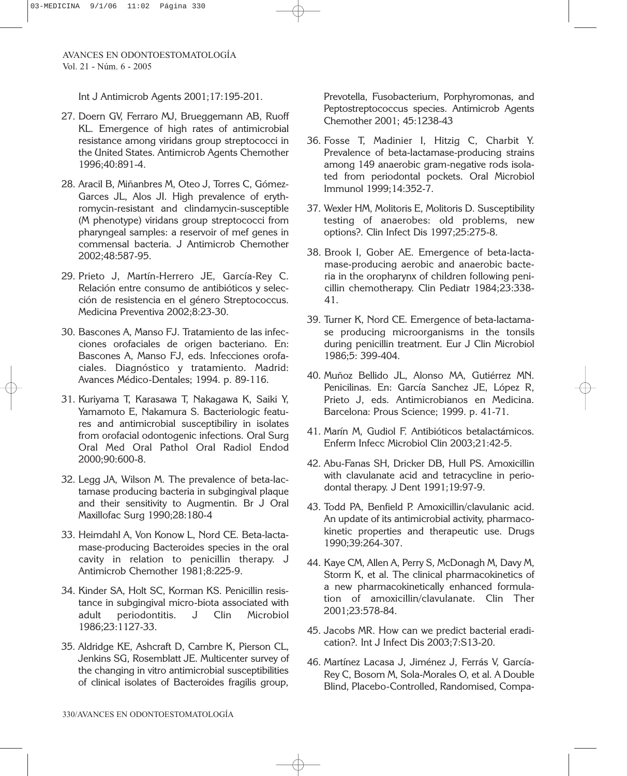Int J Antimicrob Agents 2001;17:195-201.

- 27. Doern GV, Ferraro MJ, Brueggemann AB, Ruoff KL. Emergence of high rates of antimicrobial resistance among viridans group streptococci in the United States. Antimicrob Agents Chemother 1996;40:891-4.
- 28. Aracil B, Miñanbres M, Oteo J, Torres C, Gómez-Garces JL, Alos JI. High prevalence of erythromycin-resistant and clindamycin-susceptible (M phenotype) viridans group streptococci from pharyngeal samples: a reservoir of mef genes in commensal bacteria. J Antimicrob Chemother 2002;48:587-95.
- 29. Prieto J, Martín-Herrero JE, García-Rey C. Relación entre consumo de antibióticos y selección de resistencia en el género Streptococcus. Medicina Preventiva 2002;8:23-30.
- 30. Bascones A, Manso FJ. Tratamiento de las infecciones orofaciales de origen bacteriano. En: Bascones A, Manso FJ, eds. Infecciones orofaciales. Diagnóstico y tratamiento. Madrid: Avances Médico-Dentales; 1994. p. 89-116.
- 31. Kuriyama T, Karasawa T, Nakagawa K, Saiki Y, Yamamoto E, Nakamura S. Bacteriologic features and antimicrobial susceptibiliry in isolates from orofacial odontogenic infections. Oral Surg Oral Med Oral Pathol Oral Radiol Endod 2000;90:600-8.
- 32. Legg JA, Wilson M. The prevalence of beta-lactamase producing bacteria in subgingival plaque and their sensitivity to Augmentin. Br J Oral Maxillofac Surg 1990;28:180-4
- 33. Heimdahl A, Von Konow L, Nord CE. Beta-lactamase-producing Bacteroides species in the oral cavity in relation to penicillin therapy. J Antimicrob Chemother 1981;8:225-9.
- 34. Kinder SA, Holt SC, Korman KS. Penicillin resistance in subgingival micro-biota associated with adult periodontitis. J Clin Microbiol 1986;23:1127-33.
- 35. Aldridge KE, Ashcraft D, Cambre K, Pierson CL, Jenkins SG, Rosemblatt JE. Multicenter survey of the changing in vitro antimicrobial susceptibilities of clinical isolates of Bacteroides fragilis group,

Prevotella, Fusobacterium, Porphyromonas, and Peptostreptococcus species. Antimicrob Agents Chemother 2001; 45:1238-43

- 36. Fosse T, Madinier I, Hitzig C, Charbit Y. Prevalence of beta-lactamase-producing strains among 149 anaerobic gram-negative rods isolated from periodontal pockets. Oral Microbiol Immunol 1999;14:352-7.
- 37. Wexler HM, Molitoris E, Molitoris D. Susceptibility testing of anaerobes: old problems, new options?. Clin Infect Dis 1997;25:275-8.
- 38. Brook I, Gober AE. Emergence of beta-lactamase-producing aerobic and anaerobic bacteria in the oropharynx of children following penicillin chemotherapy. Clin Pediatr 1984;23:338- 41.
- 39. Turner K, Nord CE. Emergence of beta-lactamase producing microorganisms in the tonsils during penicillin treatment. Eur J Clin Microbiol 1986;5: 399-404.
- 40. Muñoz Bellido JL, Alonso MA, Gutiérrez MN. Penicilinas. En: García Sanchez JE, López R, Prieto J, eds. Antimicrobianos en Medicina. Barcelona: Prous Science; 1999. p. 41-71.
- 41. Marín M, Gudiol F. Antibióticos betalactámicos. Enferm Infecc Microbiol Clin 2003;21:42-5.
- 42. Abu-Fanas SH, Dricker DB, Hull PS. Amoxicillin with clavulanate acid and tetracycline in periodontal therapy. J Dent 1991;19:97-9.
- 43. Todd PA, Benfield P. Amoxicillin/clavulanic acid. An update of its antimicrobial activity, pharmacokinetic properties and therapeutic use. Drugs 1990;39:264-307.
- 44. Kaye CM, Allen A, Perry S, McDonagh M, Davy M, Storm K, et al. The clinical pharmacokinetics of a new pharmacokinetically enhanced formulation of amoxicillin/clavulanate. Clin Ther 2001;23:578-84.
- 45. Jacobs MR. How can we predict bacterial eradication?. Int J Infect Dis 2003;7:S13-20.
- 46. Martínez Lacasa J, Jiménez J, Ferrás V, García-Rey C, Bosom M, Sola-Morales O, et al. A Double Blind, Placebo-Controlled, Randomised, Compa-